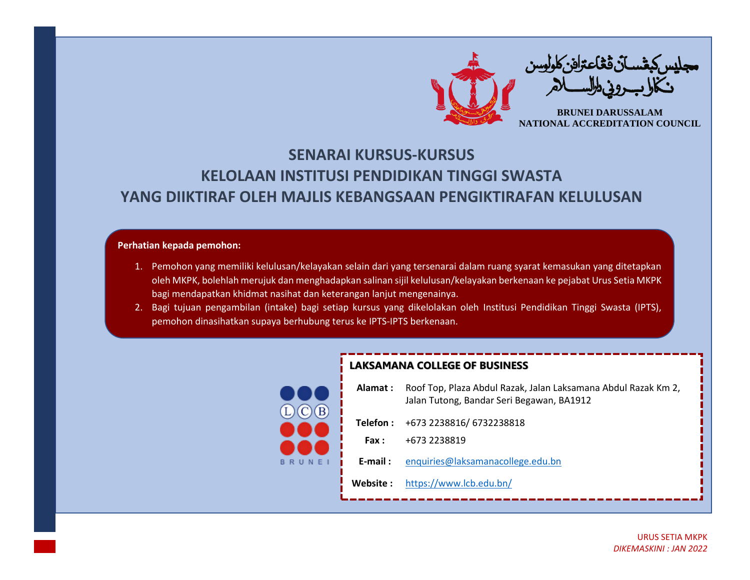

## **SENARAI KURSUS-KURSUS KELOLAAN INSTITUSI PENDIDIKAN TINGGI SWASTA YANG DIIKTIRAF OLEH MAJLIS KEBANGSAAN PENGIKTIRAFAN KELULUSAN**

## **Perhatian kepada pemohon:**

- 1. Pemohon yang memiliki kelulusan/kelayakan selain dari yang tersenarai dalam ruang syarat kemasukan yang ditetapkan oleh MKPK, bolehlah merujuk dan menghadapkan salinan sijil kelulusan/kelayakan berkenaan ke pejabat Urus Setia MKPK bagi mendapatkan khidmat nasihat dan keterangan lanjut mengenainya.
- 2. Bagi tujuan pengambilan (intake) bagi setiap kursus yang dikelolakan oleh Institusi Pendidikan Tinggi Swasta (IPTS), pemohon dinasihatkan supaya berhubung terus ke IPTS-IPTS berkenaan.



## **LAKSAMANA COLLEGE OF BUSINESS**

| Alamat :   | Roof Top, Plaza Abdul Razak, Jalan Laksamana Abdul Razak Km 2,<br>Jalan Tutong, Bandar Seri Begawan, BA1912 |
|------------|-------------------------------------------------------------------------------------------------------------|
|            | Telefon: +673 2238816/ 6732238818                                                                           |
| Fax :      | +673 2238819                                                                                                |
| $E$ -mail: | enquiries@laksamanacollege.edu.bn                                                                           |
| Website :  | https://www.lcb.edu.bn/                                                                                     |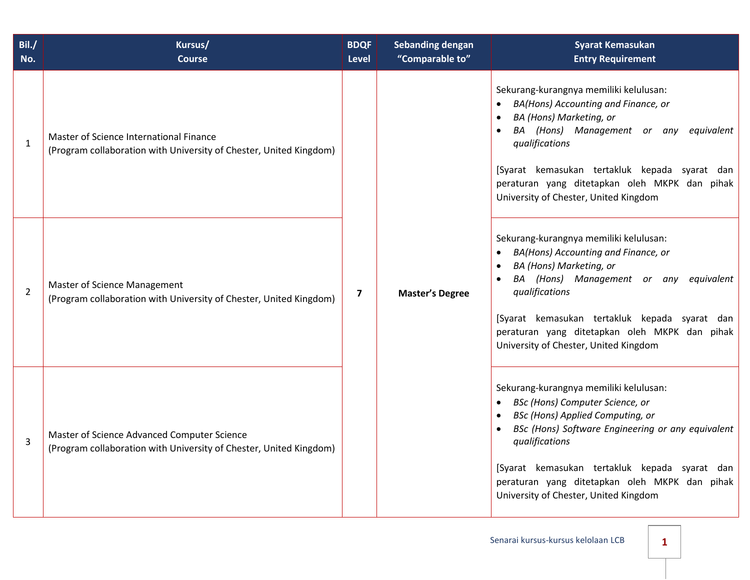| Bil./<br>No.   | Kursus/<br><b>Course</b>                                                                                          | <b>BDQF</b><br><b>Level</b> | <b>Sebanding dengan</b><br>"Comparable to" | <b>Syarat Kemasukan</b><br><b>Entry Requirement</b>                                                                                                                                                                                                                                                                                    |  |  |  |  |  |  |                        |
|----------------|-------------------------------------------------------------------------------------------------------------------|-----------------------------|--------------------------------------------|----------------------------------------------------------------------------------------------------------------------------------------------------------------------------------------------------------------------------------------------------------------------------------------------------------------------------------------|--|--|--|--|--|--|------------------------|
| $\mathbf 1$    | Master of Science International Finance<br>(Program collaboration with University of Chester, United Kingdom)     | $\overline{7}$              |                                            | Sekurang-kurangnya memiliki kelulusan:<br>BA(Hons) Accounting and Finance, or<br>BA (Hons) Marketing, or<br>BA (Hons) Management or any equivalent<br>qualifications<br>[Syarat kemasukan tertakluk kepada syarat dan<br>peraturan yang ditetapkan oleh MKPK dan pihak<br>University of Chester, United Kingdom                        |  |  |  |  |  |  |                        |
| $\overline{2}$ | <b>Master of Science Management</b><br>(Program collaboration with University of Chester, United Kingdom)         |                             |                                            |                                                                                                                                                                                                                                                                                                                                        |  |  |  |  |  |  | <b>Master's Degree</b> |
| 3              | Master of Science Advanced Computer Science<br>(Program collaboration with University of Chester, United Kingdom) |                             |                                            | Sekurang-kurangnya memiliki kelulusan:<br>BSc (Hons) Computer Science, or<br><b>BSc (Hons) Applied Computing, or</b><br>BSc (Hons) Software Engineering or any equivalent<br>qualifications<br>[Syarat kemasukan tertakluk kepada syarat dan<br>peraturan yang ditetapkan oleh MKPK dan pihak<br>University of Chester, United Kingdom |  |  |  |  |  |  |                        |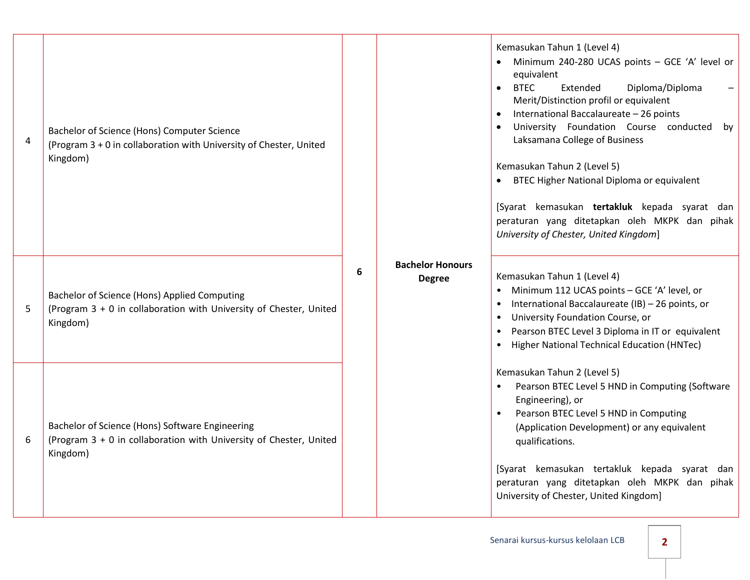| $\overline{4}$ | Bachelor of Science (Hons) Computer Science<br>(Program 3 + 0 in collaboration with University of Chester, United<br>Kingdom)     |   |                                          | Kemasukan Tahun 1 (Level 4)<br>Minimum 240-280 UCAS points - GCE 'A' level or<br>equivalent<br>Extended<br>Diploma/Diploma<br><b>BTEC</b><br>$\bullet$<br>Merit/Distinction profil or equivalent<br>International Baccalaureate - 26 points<br>University Foundation Course conducted<br>by<br>Laksamana College of Business<br>Kemasukan Tahun 2 (Level 5)<br>• BTEC Higher National Diploma or equivalent<br>[Syarat kemasukan tertakluk kepada syarat dan<br>peraturan yang ditetapkan oleh MKPK dan pihak<br>University of Chester, United Kingdom] |
|----------------|-----------------------------------------------------------------------------------------------------------------------------------|---|------------------------------------------|---------------------------------------------------------------------------------------------------------------------------------------------------------------------------------------------------------------------------------------------------------------------------------------------------------------------------------------------------------------------------------------------------------------------------------------------------------------------------------------------------------------------------------------------------------|
| 5              | Bachelor of Science (Hons) Applied Computing<br>(Program 3 + 0 in collaboration with University of Chester, United<br>Kingdom)    | 6 | <b>Bachelor Honours</b><br><b>Degree</b> | Kemasukan Tahun 1 (Level 4)<br>Minimum 112 UCAS points - GCE 'A' level, or<br>International Baccalaureate (IB) - 26 points, or<br>$\bullet$<br>University Foundation Course, or<br>$\bullet$<br>Pearson BTEC Level 3 Diploma in IT or equivalent<br>$\bullet$<br>• Higher National Technical Education (HNTec)                                                                                                                                                                                                                                          |
| 6              | Bachelor of Science (Hons) Software Engineering<br>(Program 3 + 0 in collaboration with University of Chester, United<br>Kingdom) |   |                                          | Kemasukan Tahun 2 (Level 5)<br>Pearson BTEC Level 5 HND in Computing (Software<br>Engineering), or<br>Pearson BTEC Level 5 HND in Computing<br>(Application Development) or any equivalent<br>qualifications.<br>[Syarat kemasukan tertakluk kepada syarat dan<br>peraturan yang ditetapkan oleh MKPK dan pihak<br>University of Chester, United Kingdom]                                                                                                                                                                                               |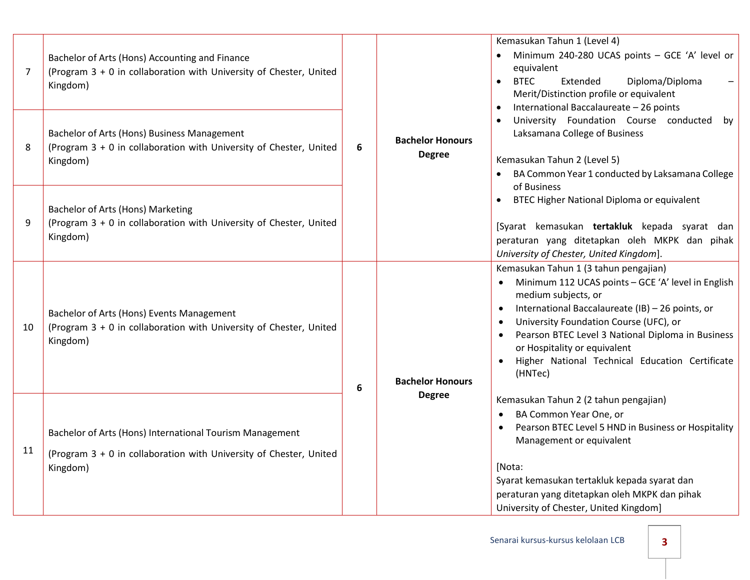| $\overline{7}$ | Bachelor of Arts (Hons) Accounting and Finance<br>(Program 3 + 0 in collaboration with University of Chester, United<br>Kingdom)           | 6<br>6 |                                          | Kemasukan Tahun 1 (Level 4)<br>Minimum 240-280 UCAS points - GCE 'A' level or<br>equivalent<br><b>BTEC</b><br>Extended<br>Diploma/Diploma<br>$\bullet$<br>Merit/Distinction profile or equivalent<br>International Baccalaureate - 26 points<br>University Foundation Course conducted<br>by<br>Laksamana College of Business<br>Kemasukan Tahun 2 (Level 5)<br>BA Common Year 1 conducted by Laksamana College |
|----------------|--------------------------------------------------------------------------------------------------------------------------------------------|--------|------------------------------------------|-----------------------------------------------------------------------------------------------------------------------------------------------------------------------------------------------------------------------------------------------------------------------------------------------------------------------------------------------------------------------------------------------------------------|
| 8              | Bachelor of Arts (Hons) Business Management<br>(Program 3 + 0 in collaboration with University of Chester, United<br>Kingdom)              |        | <b>Bachelor Honours</b><br><b>Degree</b> |                                                                                                                                                                                                                                                                                                                                                                                                                 |
| 9              | Bachelor of Arts (Hons) Marketing<br>(Program 3 + 0 in collaboration with University of Chester, United<br>Kingdom)                        |        |                                          | of Business<br>BTEC Higher National Diploma or equivalent<br>[Syarat kemasukan tertakluk kepada syarat dan<br>peraturan yang ditetapkan oleh MKPK dan pihak<br>University of Chester, United Kingdom].                                                                                                                                                                                                          |
| 10             | Bachelor of Arts (Hons) Events Management<br>(Program 3 + 0 in collaboration with University of Chester, United<br>Kingdom)                |        | <b>Bachelor Honours</b>                  | Kemasukan Tahun 1 (3 tahun pengajian)<br>Minimum 112 UCAS points - GCE 'A' level in English<br>medium subjects, or<br>International Baccalaureate (IB) - 26 points, or<br>$\bullet$<br>University Foundation Course (UFC), or<br>Pearson BTEC Level 3 National Diploma in Business<br>or Hospitality or equivalent<br>Higher National Technical Education Certificate<br>(HNTec)                                |
| 11             | Bachelor of Arts (Hons) International Tourism Management<br>(Program 3 + 0 in collaboration with University of Chester, United<br>Kingdom) |        | <b>Degree</b>                            | Kemasukan Tahun 2 (2 tahun pengajian)<br>BA Common Year One, or<br>$\bullet$<br>Pearson BTEC Level 5 HND in Business or Hospitality<br>Management or equivalent<br>[Nota:<br>Syarat kemasukan tertakluk kepada syarat dan<br>peraturan yang ditetapkan oleh MKPK dan pihak<br>University of Chester, United Kingdom]                                                                                            |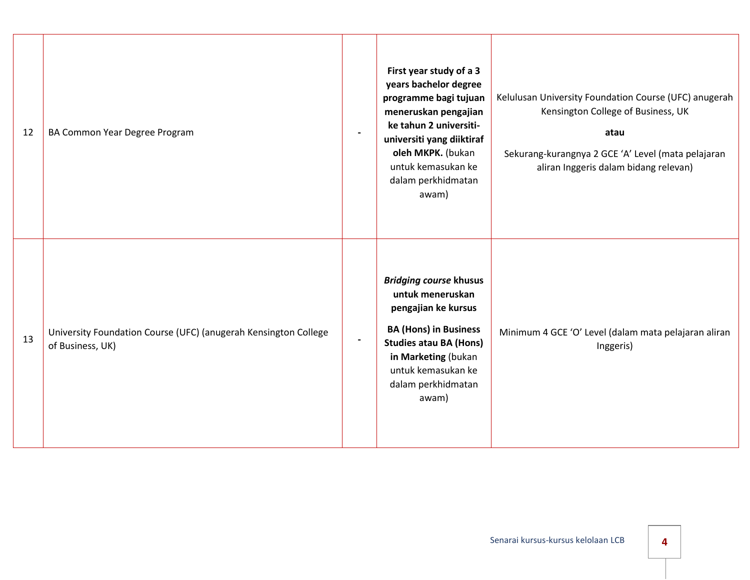| 12 | BA Common Year Degree Program                                                       | $\overline{a}$           | First year study of a 3<br>years bachelor degree<br>programme bagi tujuan<br>meneruskan pengajian<br>ke tahun 2 universiti-<br>universiti yang diiktiraf<br>oleh MKPK. (bukan<br>untuk kemasukan ke<br>dalam perkhidmatan<br>awam) | Kelulusan University Foundation Course (UFC) anugerah<br>Kensington College of Business, UK<br>atau<br>Sekurang-kurangnya 2 GCE 'A' Level (mata pelajaran<br>aliran Inggeris dalam bidang relevan) |
|----|-------------------------------------------------------------------------------------|--------------------------|------------------------------------------------------------------------------------------------------------------------------------------------------------------------------------------------------------------------------------|----------------------------------------------------------------------------------------------------------------------------------------------------------------------------------------------------|
| 13 | University Foundation Course (UFC) (anugerah Kensington College<br>of Business, UK) | $\overline{\phantom{a}}$ | <b>Bridging course khusus</b><br>untuk meneruskan<br>pengajian ke kursus<br><b>BA (Hons) in Business</b><br><b>Studies atau BA (Hons)</b><br>in Marketing (bukan<br>untuk kemasukan ke<br>dalam perkhidmatan<br>awam)              | Minimum 4 GCE 'O' Level (dalam mata pelajaran aliran<br>Inggeris)                                                                                                                                  |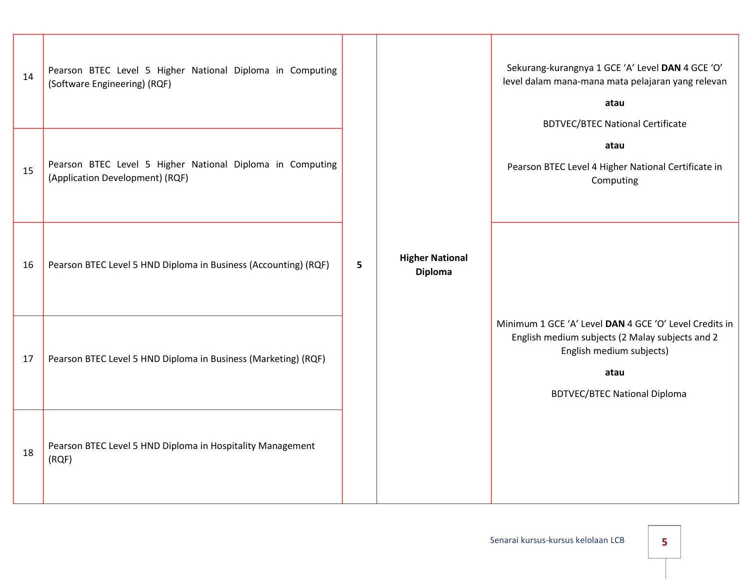| 14 | Pearson BTEC Level 5 Higher National Diploma in Computing<br>(Software Engineering) (RQF)    | 5 | <b>Higher National</b><br><b>Diploma</b> | Sekurang-kurangnya 1 GCE 'A' Level DAN 4 GCE 'O'<br>level dalam mana-mana mata pelajaran yang relevan<br>atau<br><b>BDTVEC/BTEC National Certificate</b>                             |  |  |  |  |  |  |  |
|----|----------------------------------------------------------------------------------------------|---|------------------------------------------|--------------------------------------------------------------------------------------------------------------------------------------------------------------------------------------|--|--|--|--|--|--|--|
| 15 | Pearson BTEC Level 5 Higher National Diploma in Computing<br>(Application Development) (RQF) |   |                                          | atau<br>Pearson BTEC Level 4 Higher National Certificate in<br>Computing                                                                                                             |  |  |  |  |  |  |  |
| 16 | Pearson BTEC Level 5 HND Diploma in Business (Accounting) (RQF)                              |   |                                          |                                                                                                                                                                                      |  |  |  |  |  |  |  |
| 17 | Pearson BTEC Level 5 HND Diploma in Business (Marketing) (RQF)                               |   |                                          | Minimum 1 GCE 'A' Level DAN 4 GCE 'O' Level Credits in<br>English medium subjects (2 Malay subjects and 2<br>English medium subjects)<br>atau<br><b>BDTVEC/BTEC National Diploma</b> |  |  |  |  |  |  |  |
| 18 | Pearson BTEC Level 5 HND Diploma in Hospitality Management<br>(RQF)                          |   |                                          |                                                                                                                                                                                      |  |  |  |  |  |  |  |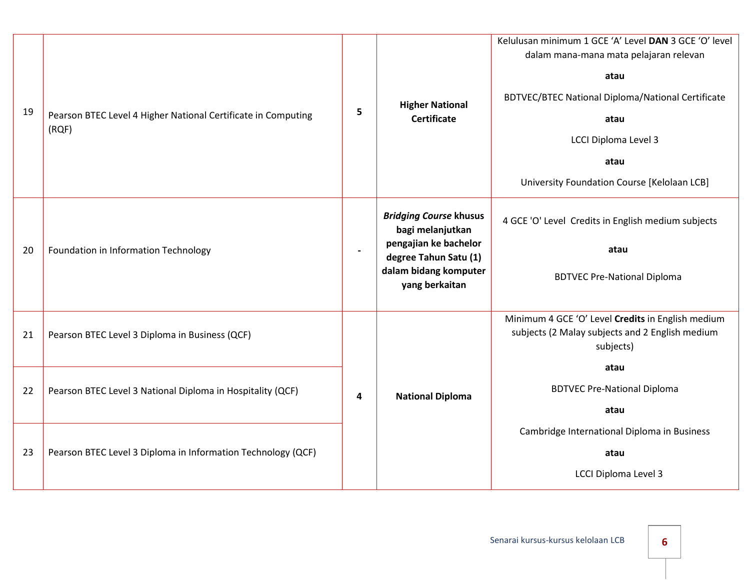| 19 | Pearson BTEC Level 4 Higher National Certificate in Computing<br>(RQF) | 5                       | <b>Higher National</b><br><b>Certificate</b>                                                                                                   | Kelulusan minimum 1 GCE 'A' Level DAN 3 GCE 'O' level<br>dalam mana-mana mata pelajaran relevan<br>atau<br><b>BDTVEC/BTEC National Diploma/National Certificate</b><br>atau<br><b>LCCI Diploma Level 3</b><br>atau<br>University Foundation Course [Kelolaan LCB] |
|----|------------------------------------------------------------------------|-------------------------|------------------------------------------------------------------------------------------------------------------------------------------------|-------------------------------------------------------------------------------------------------------------------------------------------------------------------------------------------------------------------------------------------------------------------|
| 20 | Foundation in Information Technology                                   | $\blacksquare$          | <b>Bridging Course khusus</b><br>bagi melanjutkan<br>pengajian ke bachelor<br>degree Tahun Satu (1)<br>dalam bidang komputer<br>yang berkaitan | 4 GCE 'O' Level Credits in English medium subjects<br>atau<br><b>BDTVEC Pre-National Diploma</b>                                                                                                                                                                  |
| 21 | Pearson BTEC Level 3 Diploma in Business (QCF)                         | $\overline{\mathbf{4}}$ | <b>National Diploma</b>                                                                                                                        | Minimum 4 GCE 'O' Level Credits in English medium<br>subjects (2 Malay subjects and 2 English medium<br>subjects)<br>atau                                                                                                                                         |
| 22 | Pearson BTEC Level 3 National Diploma in Hospitality (QCF)             |                         |                                                                                                                                                | <b>BDTVEC Pre-National Diploma</b><br>atau                                                                                                                                                                                                                        |
| 23 | Pearson BTEC Level 3 Diploma in Information Technology (QCF)           |                         |                                                                                                                                                | Cambridge International Diploma in Business<br>atau<br><b>LCCI Diploma Level 3</b>                                                                                                                                                                                |